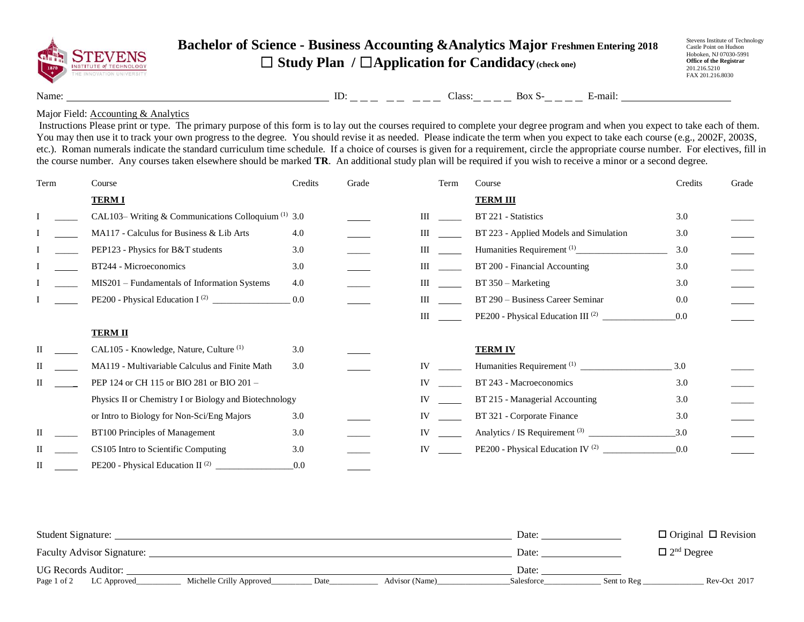

## **Bachelor of Science - Business Accounting &Analytics Major Freshmen Entering 2018** ☐ **Study Plan /** ☐**Application for Candidacy(check one)**

Stevens Institute of Technology Castle Point on Hudson Hoboken, NJ 07030-5991 **Office of the Registrar** 201.216.5210 FAX 201.216.8030

Name:  $\qquad \qquad \text{ID:} \qquad \qquad \text{ID:} \qquad \qquad \text{L} = \qquad \qquad \text{L} = \qquad \text{L} = \qquad \text{L} = \text{Box S} \cdot \text{L} = \text{L} = \text{E} \cdot \text{mail:}$ 

## Major Field: **Accounting & Analytics**

Instructions Please print or type. The primary purpose of this form is to lay out the courses required to complete your degree program and when you expect to take each of them. You may then use it to track your own progress to the degree. You should revise it as needed. Please indicate the term when you expect to take each course (e.g., 2002F, 2003S, etc.). Roman numerals indicate the standard curriculum time schedule. If a choice of courses is given for a requirement, circle the appropriate course number. For electives, fill in the course number. Any courses taken elsewhere should be marked **TR**. An additional study plan will be required if you wish to receive a minor or a second degree.

| Term | Course                                                        | Credits | Grade | Term      | Course                                        | Credits | Grade |
|------|---------------------------------------------------------------|---------|-------|-----------|-----------------------------------------------|---------|-------|
|      | <b>TERMI</b>                                                  |         |       |           | <b>TERM III</b>                               |         |       |
|      | CAL103-Writing & Communications Colloquium <sup>(1)</sup> 3.0 |         |       | Ш         | BT 221 - Statistics                           | 3.0     |       |
|      | MA117 - Calculus for Business & Lib Arts                      | 4.0     |       | Ш         | BT 223 - Applied Models and Simulation        | 3.0     |       |
|      | PEP123 - Physics for B&T students                             | 3.0     |       | Ш         |                                               | 3.0     |       |
|      | BT244 - Microeconomics                                        | 3.0     |       | Ш         | BT 200 - Financial Accounting                 | 3.0     |       |
|      | MIS201 - Fundamentals of Information Systems                  | 4.0     |       | Ш         | $BT 350 - Marketing$                          | 3.0     |       |
|      |                                                               | 0.0     |       | Ш         | BT 290 - Business Career Seminar              | 0.0     |       |
|      |                                                               |         |       | Ш         | PE200 - Physical Education III <sup>(2)</sup> | 0.0     |       |
|      | <b>TERM II</b>                                                |         |       |           |                                               |         |       |
|      | CAL105 - Knowledge, Nature, Culture <sup>(1)</sup>            | 3.0     |       |           | <b>TERM IV</b>                                |         |       |
|      | MA119 - Multivariable Calculus and Finite Math                | 3.0     |       | IV        |                                               | 3.0     |       |
|      | PEP 124 or CH 115 or BIO 281 or BIO 201 -                     |         |       | IV        | BT 243 - Macroeconomics                       | 3.0     |       |
|      | Physics II or Chemistry I or Biology and Biotechnology        |         |       | IV        | BT 215 - Managerial Accounting                | 3.0     |       |
|      | or Intro to Biology for Non-Sci/Eng Majors                    | 3.0     |       | IV        | BT 321 - Corporate Finance                    | 3.0     |       |
|      | BT100 Principles of Management                                | 3.0     |       | <b>IV</b> | Analytics / IS Requirement $(3)$              | 3.0     |       |
|      | CS105 Intro to Scientific Computing                           | 3.0     |       | IV        | PE200 - Physical Education IV <sup>(2)</sup>  | 0.0     |       |
| Н    | PE200 - Physical Education II <sup>(2)</sup>                  | 0.0     |       |           |                                               |         |       |

| Student Signature:                |                          |      |                | Date:      |             | $\Box$ Original $\Box$ Revision |
|-----------------------------------|--------------------------|------|----------------|------------|-------------|---------------------------------|
| <b>Faculty Advisor Signature:</b> |                          |      |                | Date:      |             | $\Box$ 2 <sup>nd</sup> Degree   |
| <b>UG Records Auditor:</b>        |                          |      |                | Date:      |             |                                 |
| Page 1 of 2<br>LC Approved        | Michelle Crilly Approved | Date | Advisor (Name) | Salesforce | Sent to Reg | Rev-Oct 2017                    |